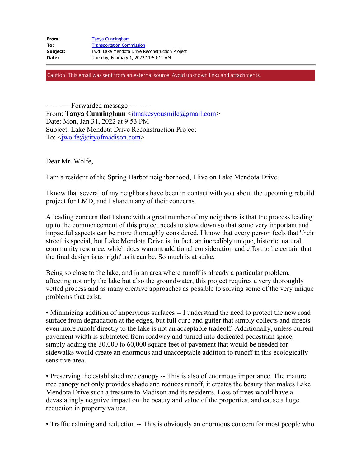| From:    | <b>Tanya Cunningham</b>                        |
|----------|------------------------------------------------|
| To:      | <b>Transportation Commission</b>               |
| Subject: | Fwd: Lake Mendota Drive Reconstruction Project |
| Date:    | Tuesday, February 1, 2022 11:50:11 AM          |
|          |                                                |

Caution: This email was sent from an external source. Avoid unknown links and attachments.

---------- Forwarded message --------- From: **Tanya Cunningham** <<u>itmakesyousmile@gmail.com</u>> Date: Mon, Jan 31, 2022 at 9:53 PM Subject: Lake Mendota Drive Reconstruction Project To: <<u>jwolfe@cityofmadison.com</u>>

Dear Mr. Wolfe,

I am a resident of the Spring Harbor neighborhood, I live on Lake Mendota Drive.

I know that several of my neighbors have been in contact with you about the upcoming rebuild project for LMD, and I share many of their concerns.

A leading concern that I share with a great number of my neighbors is that the process leading up to the commencement of this project needs to slow down so that some very important and impactful aspects can be more thoroughly considered. I know that every person feels that 'their street' is special, but Lake Mendota Drive is, in fact, an incredibly unique, historic, natural, community resource, which does warrant additional consideration and effort to be certain that the final design is as 'right' as it can be. So much is at stake.

Being so close to the lake, and in an area where runoff is already a particular problem, affecting not only the lake but also the groundwater, this project requires a very thoroughly vetted process and as many creative approaches as possible to solving some of the very unique problems that exist.

• Minimizing addition of impervious surfaces -- I understand the need to protect the new road surface from degradation at the edges, but full curb and gutter that simply collects and directs even more runoff directly to the lake is not an acceptable tradeoff. Additionally, unless current pavement width is subtracted from roadway and turned into dedicated pedestrian space, simply adding the 30,000 to 60,000 square feet of pavement that would be needed for sidewalks would create an enormous and unacceptable addition to runoff in this ecologically sensitive area.

• Preserving the established tree canopy -- This is also of enormous importance. The mature tree canopy not only provides shade and reduces runoff, it creates the beauty that makes Lake Mendota Drive such a treasure to Madison and its residents. Loss of trees would have a devastatingly negative impact on the beauty and value of the properties, and cause a huge reduction in property values.

• Traffic calming and reduction -- This is obviously an enormous concern for most people who